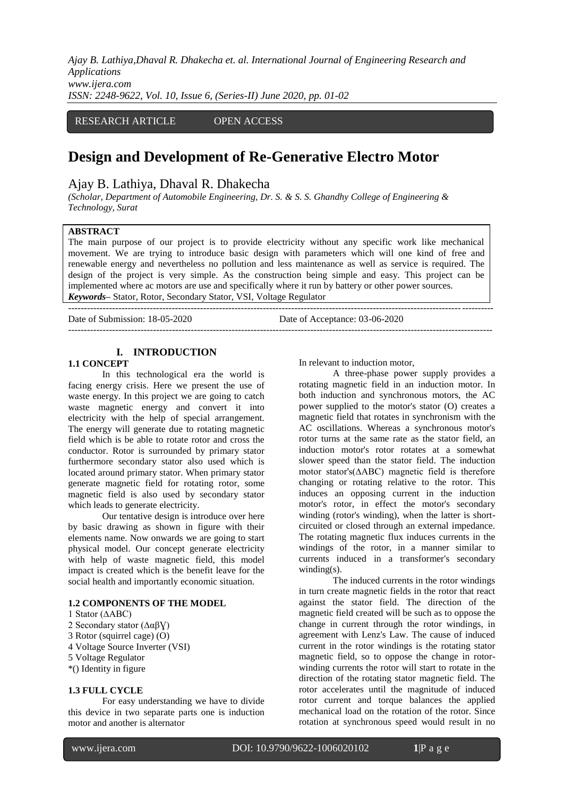*Ajay B. Lathiya,Dhaval R. Dhakecha et. al. International Journal of Engineering Research and Applications www.ijera.com ISSN: 2248-9622, Vol. 10, Issue 6, (Series-II) June 2020, pp. 01-02*

# RESEARCH ARTICLE OPEN ACCESS

# **Design and Development of Re-Generative Electro Motor**

## Ajay B. Lathiya, Dhaval R. Dhakecha

*(Scholar, Department of Automobile Engineering, Dr. S. & S. S. Ghandhy College of Engineering & Technology, Surat*

#### **ABSTRACT**

The main purpose of our project is to provide electricity without any specific work like mechanical movement. We are trying to introduce basic design with parameters which will one kind of free and renewable energy and nevertheless no pollution and less maintenance as well as service is required. The design of the project is very simple. As the construction being simple and easy. This project can be implemented where ac motors are use and specifically where it run by battery or other power sources. *Keywords***–** Stator, Rotor, Secondary Stator, VSI, Voltage Regulator

---------------------------------------------------------------------------------------------------------------------------------------

---------------------------------------------------------------------------------------------------------------------------------------

Date of Submission: 18-05-2020 Date of Acceptance: 03-06-2020

# **I. INTRODUCTION**

#### **1.1 CONCEPT**

In this technological era the world is facing energy crisis. Here we present the use of waste energy. In this project we are going to catch waste magnetic energy and convert it into electricity with the help of special arrangement. The energy will generate due to rotating magnetic field which is be able to rotate rotor and cross the conductor. Rotor is surrounded by primary stator furthermore secondary stator also used which is located around primary stator. When primary stator generate magnetic field for rotating rotor, some magnetic field is also used by secondary stator which leads to generate electricity.

Our tentative design is introduce over here by basic drawing as shown in figure with their elements name. Now onwards we are going to start physical model. Our concept generate electricity with help of waste magnetic field, this model impact is created which is the benefit leave for the social health and importantly economic situation.

### **1.2 COMPONENTS OF THE MODEL**

#### 1 Stator (∆ABC)

- 2 Secondary stator ( $Δαβ$ )
- 3 Rotor (squirrel cage) (O)
- 4 Voltage Source Inverter (VSI)
- 5 Voltage Regulator
- \*() Identity in figure

#### **1.3 FULL CYCLE**

For easy understanding we have to divide this device in two separate parts one is induction motor and another is alternator

In relevant to induction motor,

A three-phase power supply provides a rotating magnetic field in an induction motor. In both induction and synchronous motors, the AC power supplied to the motor's stator (O) creates a magnetic field that rotates in synchronism with the AC oscillations. Whereas a synchronous motor's rotor turns at the same rate as the stator field, an induction motor's rotor rotates at a somewhat slower speed than the stator field. The induction motor stator's(∆ABC) magnetic field is therefore changing or rotating relative to the rotor. This induces an opposing current in the induction motor's rotor, in effect the motor's secondary winding (rotor's winding), when the latter is shortcircuited or closed through an external impedance. The rotating magnetic flux induces currents in the windings of the rotor, in a manner similar to currents induced in a transformer's secondary winding(s).

The induced currents in the rotor windings in turn create magnetic fields in the rotor that react against the stator field. The direction of the magnetic field created will be such as to oppose the change in current through the rotor windings, in agreement with Lenz's Law. The cause of induced current in the rotor windings is the rotating stator magnetic field, so to oppose the change in rotorwinding currents the rotor will start to rotate in the direction of the rotating stator magnetic field. The rotor accelerates until the magnitude of induced rotor current and torque balances the applied mechanical load on the rotation of the rotor. Since rotation at synchronous speed would result in no